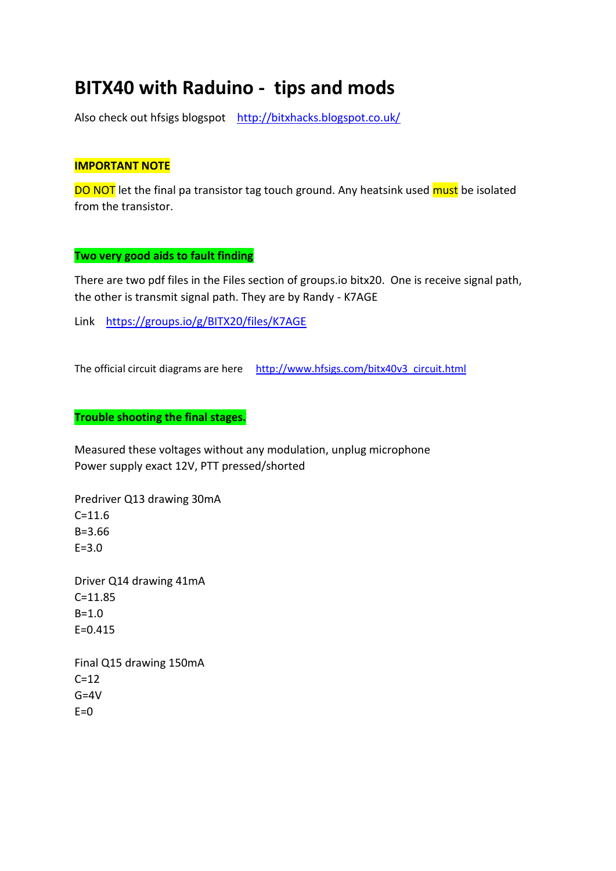# **BITX40 with Raduino - tips and mods**

Also check out hfsigs blogspot <http://bitxhacks.blogspot.co.uk/>

## **IMPORTANT NOTE**

DO NOT let the final pa transistor tag touch ground. Any heatsink used must be isolated from the transistor.

## **Two very good aids to fault finding**

There are two pdf files in the Files section of groups.io bitx20. One is receive signal path, the other is transmit signal path. They are by Randy - K7AGE

Link <https://groups.io/g/BITX20/files/K7AGE>

The official circuit diagrams are here [http://www.hfsigs.com/bitx40v3\\_circuit.html](http://www.hfsigs.com/bitx40v3_circuit.html)

## **Trouble shooting the final stages.**

Measured these voltages without any modulation, unplug microphone Power supply exact 12V, PTT pressed/shorted

Predriver Q13 drawing 30mA  $C = 11.6$ B=3.66 E=3.0 Driver Q14 drawing 41mA C=11.85  $B = 1.0$  $F = 0.415$ 

Final Q15 drawing 150mA  $C=12$  $G = 4V$  $E=0$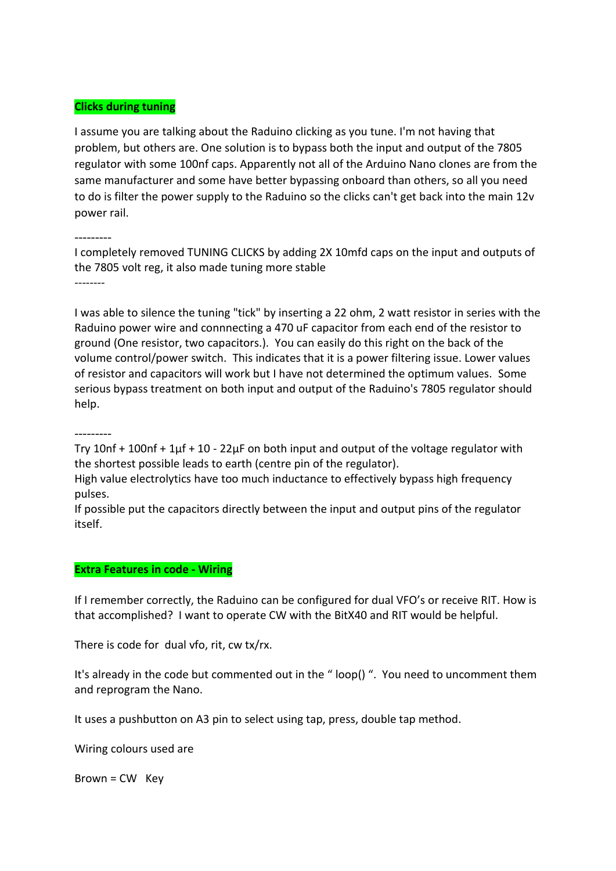#### **Clicks during tuning**

I assume you are talking about the Raduino clicking as you tune. I'm not having that problem, but others are. One solution is to bypass both the input and output of the 7805 regulator with some 100nf caps. Apparently not all of the Arduino Nano clones are from the same manufacturer and some have better bypassing onboard than others, so all you need to do is filter the power supply to the Raduino so the clicks can't get back into the main 12v power rail.

---------

I completely removed TUNING CLICKS by adding 2X 10mfd caps on the input and outputs of the 7805 volt reg, it also made tuning more stable --------

I was able to silence the tuning "tick" by inserting a 22 ohm, 2 watt resistor in series with the Raduino power wire and connnecting a 470 uF capacitor from each end of the resistor to ground (One resistor, two capacitors.). You can easily do this right on the back of the volume control/power switch. This indicates that it is a power filtering issue. Lower values of resistor and capacitors will work but I have not determined the optimum values. Some serious bypass treatment on both input and output of the Raduino's 7805 regulator should help.

---------

Try 10nf + 100nf + 1μf + 10 - 22μF on both input and output of the voltage regulator with the shortest possible leads to earth (centre pin of the regulator).

High value electrolytics have too much inductance to effectively bypass high frequency pulses.

If possible put the capacitors directly between the input and output pins of the regulator itself.

#### **Extra Features in code - Wiring**

If I remember correctly, the Raduino can be configured for dual VFO's or receive RIT. How is that accomplished? I want to operate CW with the BitX40 and RIT would be helpful.

There is code for dual vfo, rit, cw tx/rx.

It's already in the code but commented out in the "loop() ". You need to uncomment them and reprogram the Nano.

It uses a pushbutton on A3 pin to select using tap, press, double tap method.

Wiring colours used are

Brown = CW Key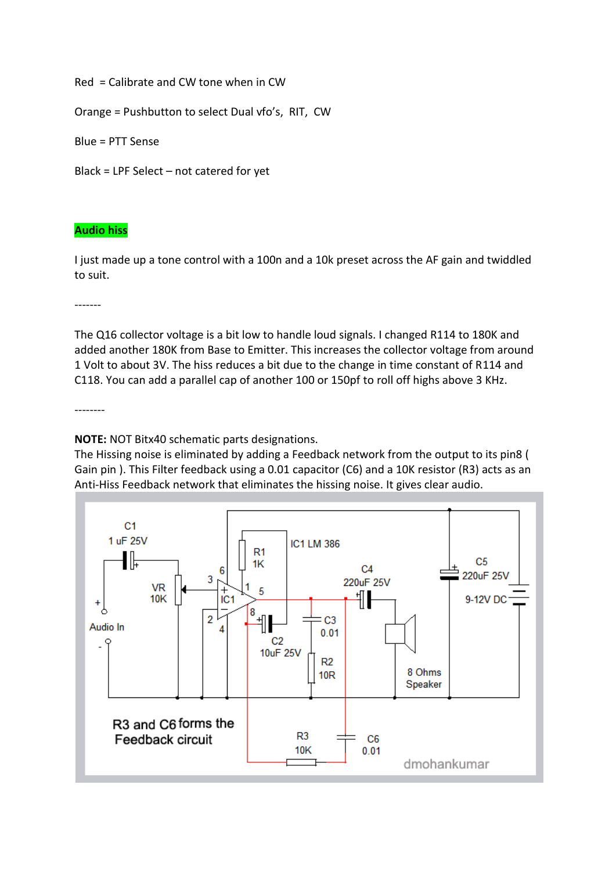Red = Calibrate and CW tone when in CW

Orange = Pushbutton to select Dual vfo's, RIT, CW

Blue = PTT Sense

Black = LPF Select – not catered for yet

## **Audio hiss**

I just made up a tone control with a 100n and a 10k preset across the AF gain and twiddled to suit.

-------

The Q16 collector voltage is a bit low to handle loud signals. I changed R114 to 180K and added another 180K from Base to Emitter. This increases the collector voltage from around 1 Volt to about 3V. The hiss reduces a bit due to the change in time constant of R114 and C118. You can add a parallel cap of another 100 or 150pf to roll off highs above 3 KHz.

--------

**NOTE:** NOT Bitx40 schematic parts designations.

The Hissing noise is eliminated by adding a Feedback network from the output to its pin8 ( Gain pin ). This Filter feedback using a 0.01 capacitor (C6) and a 10K resistor (R3) acts as an Anti-Hiss Feedback network that eliminates the hissing noise. It gives clear audio.

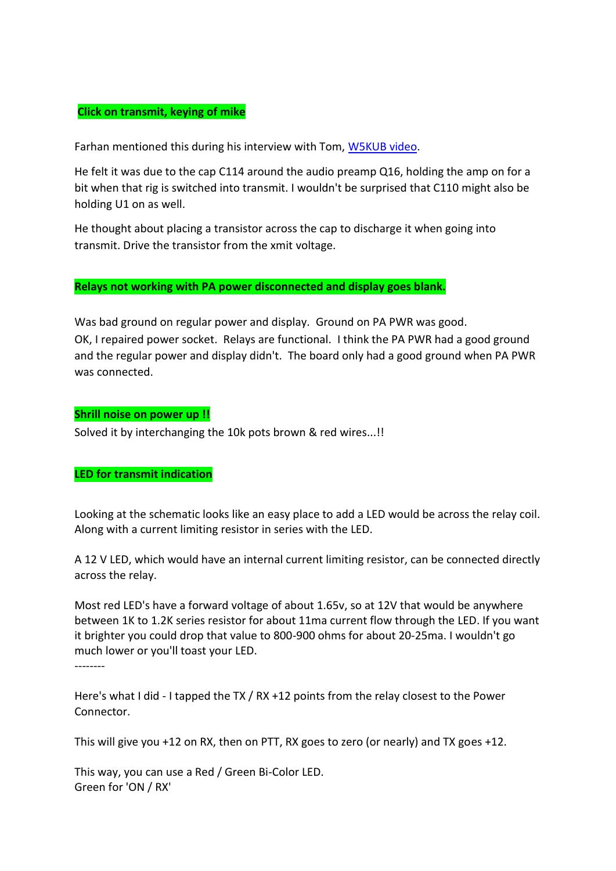### **Click on transmit, keying of mike**

Farhan mentioned this during his interview with Tom, **W5KUB video**.

He felt it was due to the cap C114 around the audio preamp Q16, holding the amp on for a bit when that rig is switched into transmit. I wouldn't be surprised that C110 might also be holding U1 on as well.

He thought about placing a transistor across the cap to discharge it when going into transmit. Drive the transistor from the xmit voltage.

#### **Relays not working with PA power disconnected and display goes blank.**

Was bad ground on regular power and display. Ground on PA PWR was good. OK, I repaired power socket. Relays are functional. I think the PA PWR had a good ground and the regular power and display didn't. The board only had a good ground when PA PWR was connected.

#### **Shrill noise on power up !!**

Solved it by interchanging the 10k pots brown & red wires...!!

## **LED for transmit indication**

Looking at the schematic looks like an easy place to add a LED would be across the relay coil. Along with a current limiting resistor in series with the LED.

A 12 V LED, which would have an internal current limiting resistor, can be connected directly across the relay.

Most red LED's have a forward voltage of about 1.65v, so at 12V that would be anywhere between 1K to 1.2K series resistor for about 11ma current flow through the LED. If you want it brighter you could drop that value to 800-900 ohms for about 20-25ma. I wouldn't go much lower or you'll toast your LED.

--------

Here's what I did - I tapped the TX / RX +12 points from the relay closest to the Power Connector.

This will give you +12 on RX, then on PTT, RX goes to zero (or nearly) and TX goes +12.

This way, you can use a Red / Green Bi-Color LED. Green for 'ON / RX'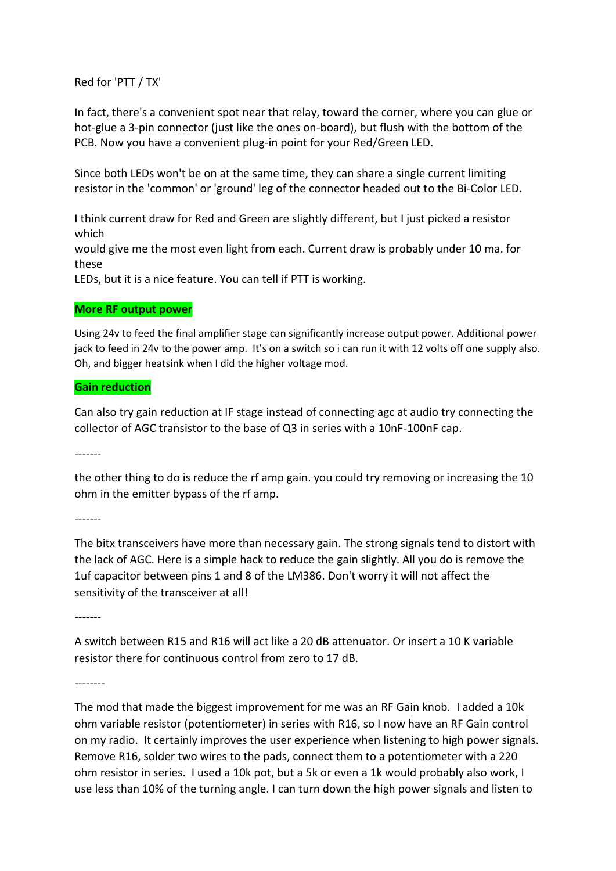Red for 'PTT / TX'

In fact, there's a convenient spot near that relay, toward the corner, where you can glue or hot-glue a 3-pin connector (just like the ones on-board), but flush with the bottom of the PCB. Now you have a convenient plug-in point for your Red/Green LED.

Since both LEDs won't be on at the same time, they can share a single current limiting resistor in the 'common' or 'ground' leg of the connector headed out to the Bi-Color LED.

I think current draw for Red and Green are slightly different, but I just picked a resistor which

would give me the most even light from each. Current draw is probably under 10 ma. for these

LEDs, but it is a nice feature. You can tell if PTT is working.

#### **More RF output power**

Using 24v to feed the final amplifier stage can significantly increase output power. Additional power jack to feed in 24v to the power amp. It's on a switch so i can run it with 12 volts off one supply also. Oh, and bigger heatsink when I did the higher voltage mod.

#### **Gain reduction**

Can also try gain reduction at IF stage instead of connecting agc at audio try connecting the collector of AGC transistor to the base of Q3 in series with a 10nF-100nF cap.

-------

the other thing to do is reduce the rf amp gain. you could try removing or increasing the 10 ohm in the emitter bypass of the rf amp.

-------

The bitx transceivers have more than necessary gain. The strong signals tend to distort with the lack of AGC. Here is a simple hack to reduce the gain slightly. All you do is remove the 1uf capacitor between pins 1 and 8 of the LM386. Don't worry it will not affect the sensitivity of the transceiver at all!

-------

A switch between R15 and R16 will act like a 20 dB attenuator. Or insert a 10 K variable resistor there for continuous control from zero to 17 dB.

--------

The mod that made the biggest improvement for me was an RF Gain knob. I added a 10k ohm variable resistor (potentiometer) in series with R16, so I now have an RF Gain control on my radio. It certainly improves the user experience when listening to high power signals. Remove R16, solder two wires to the pads, connect them to a potentiometer with a 220 ohm resistor in series. I used a 10k pot, but a 5k or even a 1k would probably also work, I use less than 10% of the turning angle. I can turn down the high power signals and listen to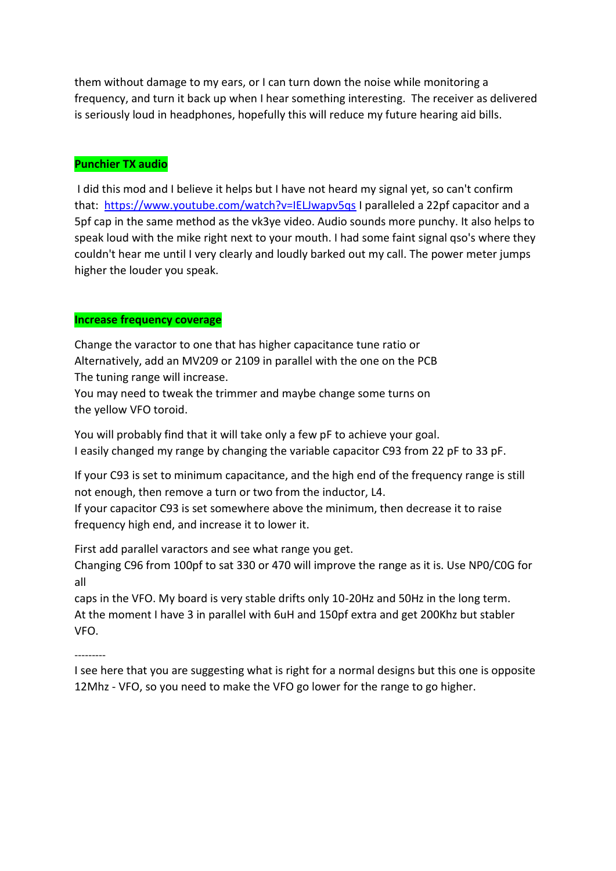them without damage to my ears, or I can turn down the noise while monitoring a frequency, and turn it back up when I hear something interesting. The receiver as delivered is seriously loud in headphones, hopefully this will reduce my future hearing aid bills.

## **Punchier TX audio**

I did this mod and I believe it helps but I have not heard my signal yet, so can't confirm that: <https://www.youtube.com/watch?v=IELJwapv5qs> I paralleled a 22pf capacitor and a 5pf cap in the same method as the vk3ye video. Audio sounds more punchy. It also helps to speak loud with the mike right next to your mouth. I had some faint signal qso's where they couldn't hear me until I very clearly and loudly barked out my call. The power meter jumps higher the louder you speak.

## **Increase frequency coverage**

Change the varactor to one that has higher capacitance tune ratio or Alternatively, add an MV209 or 2109 in parallel with the one on the PCB The tuning range will increase.

You may need to tweak the trimmer and maybe change some turns on the yellow VFO toroid.

You will probably find that it will take only a few pF to achieve your goal. I easily changed my range by changing the variable capacitor C93 from 22 pF to 33 pF.

If your C93 is set to minimum capacitance, and the high end of the frequency range is still not enough, then remove a turn or two from the inductor, L4. If your capacitor C93 is set somewhere above the minimum, then decrease it to raise frequency high end, and increase it to lower it.

First add parallel varactors and see what range you get.

Changing C96 from 100pf to sat 330 or 470 will improve the range as it is. Use NP0/C0G for all

caps in the VFO. My board is very stable drifts only 10-20Hz and 50Hz in the long term. At the moment I have 3 in parallel with 6uH and 150pf extra and get 200Khz but stabler VFO.

---------

I see here that you are suggesting what is right for a normal designs but this one is opposite 12Mhz - VFO, so you need to make the VFO go lower for the range to go higher.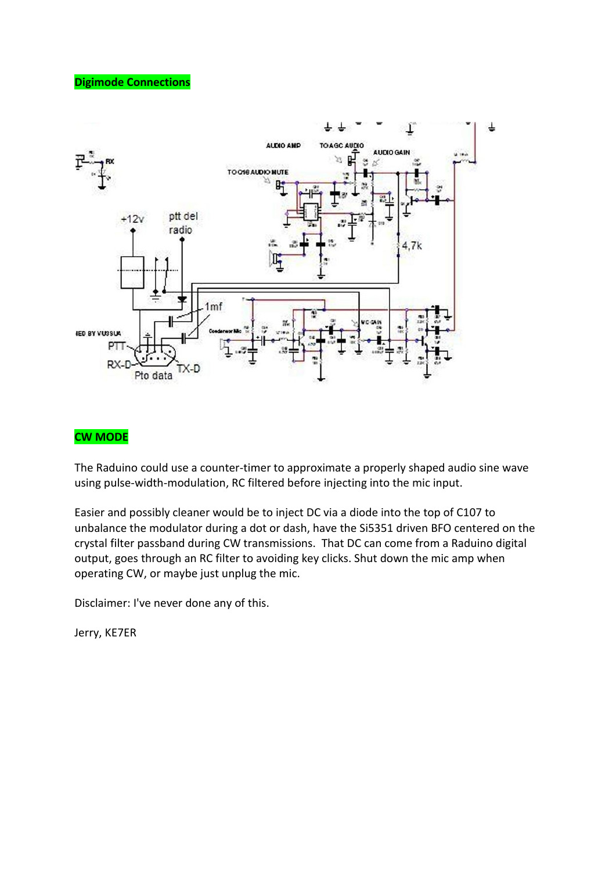## **Digimode Connections**



## **CW MODE**

The Raduino could use a counter-timer to approximate a properly shaped audio sine wave using pulse-width-modulation, RC filtered before injecting into the mic input.

Easier and possibly cleaner would be to inject DC via a diode into the top of C107 to unbalance the modulator during a dot or dash, have the Si5351 driven BFO centered on the crystal filter passband during CW transmissions. That DC can come from a Raduino digital output, goes through an RC filter to avoiding key clicks. Shut down the mic amp when operating CW, or maybe just unplug the mic.

Disclaimer: I've never done any of this.

Jerry, KE7ER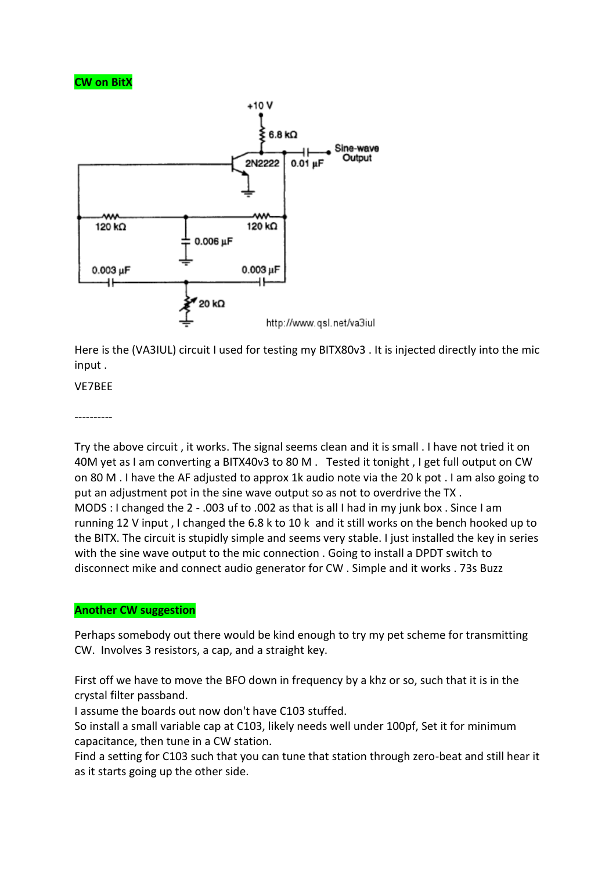## **CW on BitX**



Here is the (VA3IUL) circuit I used for testing my BITX80v3 . It is injected directly into the mic input .

## VE7BEE

----------

Try the above circuit , it works. The signal seems clean and it is small . I have not tried it on 40M yet as I am converting a BITX40v3 to 80 M . Tested it tonight , I get full output on CW on 80 M . I have the AF adjusted to approx 1k audio note via the 20 k pot . I am also going to put an adjustment pot in the sine wave output so as not to overdrive the TX . MODS : I changed the 2 - .003 uf to .002 as that is all I had in my junk box . Since I am running 12 V input , I changed the 6.8 k to 10 k and it still works on the bench hooked up to the BITX. The circuit is stupidly simple and seems very stable. I just installed the key in series with the sine wave output to the mic connection . Going to install a DPDT switch to disconnect mike and connect audio generator for CW . Simple and it works . 73s Buzz

## **Another CW suggestion**

Perhaps somebody out there would be kind enough to try my pet scheme for transmitting CW. Involves 3 resistors, a cap, and a straight key.

First off we have to move the BFO down in frequency by a khz or so, such that it is in the crystal filter passband.

I assume the boards out now don't have C103 stuffed.

So install a small variable cap at C103, likely needs well under 100pf, Set it for minimum capacitance, then tune in a CW station.

Find a setting for C103 such that you can tune that station through zero-beat and still hear it as it starts going up the other side.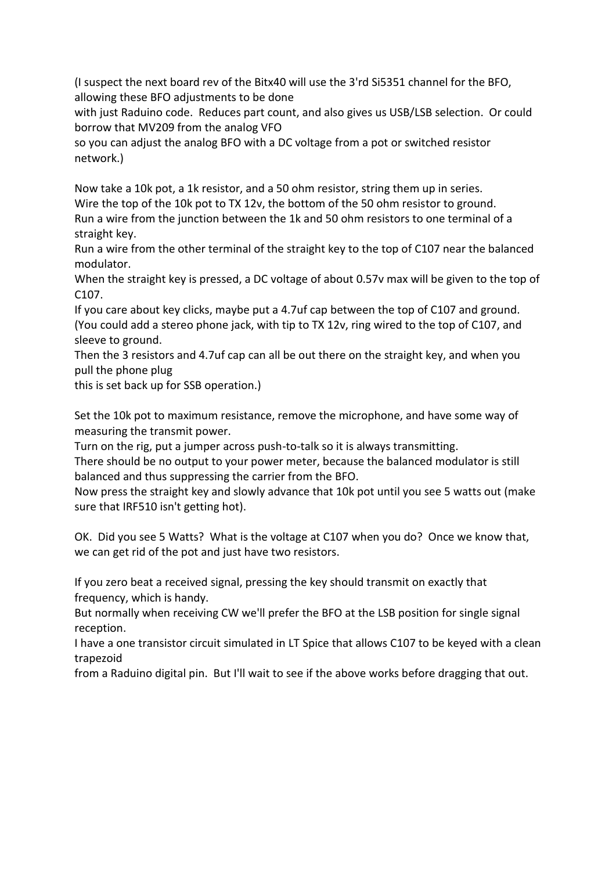(I suspect the next board rev of the Bitx40 will use the 3'rd Si5351 channel for the BFO, allowing these BFO adjustments to be done

with just Raduino code. Reduces part count, and also gives us USB/LSB selection. Or could borrow that MV209 from the analog VFO

so you can adjust the analog BFO with a DC voltage from a pot or switched resistor network.)

Now take a 10k pot, a 1k resistor, and a 50 ohm resistor, string them up in series. Wire the top of the 10k pot to TX 12v, the bottom of the 50 ohm resistor to ground. Run a wire from the junction between the 1k and 50 ohm resistors to one terminal of a straight key.

Run a wire from the other terminal of the straight key to the top of C107 near the balanced modulator.

When the straight key is pressed, a DC voltage of about 0.57v max will be given to the top of C107.

If you care about key clicks, maybe put a 4.7uf cap between the top of C107 and ground. (You could add a stereo phone jack, with tip to TX 12v, ring wired to the top of C107, and sleeve to ground.

Then the 3 resistors and 4.7uf cap can all be out there on the straight key, and when you pull the phone plug

this is set back up for SSB operation.)

Set the 10k pot to maximum resistance, remove the microphone, and have some way of measuring the transmit power.

Turn on the rig, put a jumper across push-to-talk so it is always transmitting.

There should be no output to your power meter, because the balanced modulator is still balanced and thus suppressing the carrier from the BFO.

Now press the straight key and slowly advance that 10k pot until you see 5 watts out (make sure that IRF510 isn't getting hot).

OK. Did you see 5 Watts? What is the voltage at C107 when you do? Once we know that, we can get rid of the pot and just have two resistors.

If you zero beat a received signal, pressing the key should transmit on exactly that frequency, which is handy.

But normally when receiving CW we'll prefer the BFO at the LSB position for single signal reception.

I have a one transistor circuit simulated in LT Spice that allows C107 to be keyed with a clean trapezoid

from a Raduino digital pin. But I'll wait to see if the above works before dragging that out.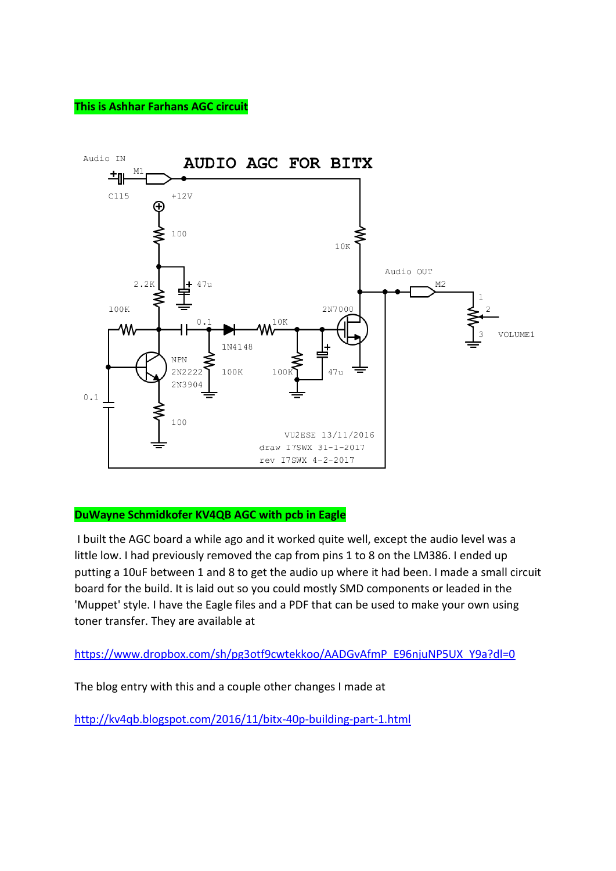## **This is Ashhar Farhans AGC circuit**



## **DuWayne Schmidkofer KV4QB AGC with pcb in Eagle**

I built the AGC board a while ago and it worked quite well, except the audio level was a little low. I had previously removed the cap from pins 1 to 8 on the LM386. I ended up putting a 10uF between 1 and 8 to get the audio up where it had been. I made a small circuit board for the build. It is laid out so you could mostly SMD components or leaded in the 'Muppet' style. I have the Eagle files and a PDF that can be used to make your own using toner transfer. They are available at

[https://www.dropbox.com/sh/pg3otf9cwtekkoo/AADGvAfmP\\_E96njuNP5UX\\_Y9a?dl=0](https://www.dropbox.com/sh/pg3otf9cwtekkoo/AADGvAfmP_E96njuNP5UX_Y9a?dl=0)

The blog entry with this and a couple other changes I made at

<http://kv4qb.blogspot.com/2016/11/bitx-40p-building-part-1.html>